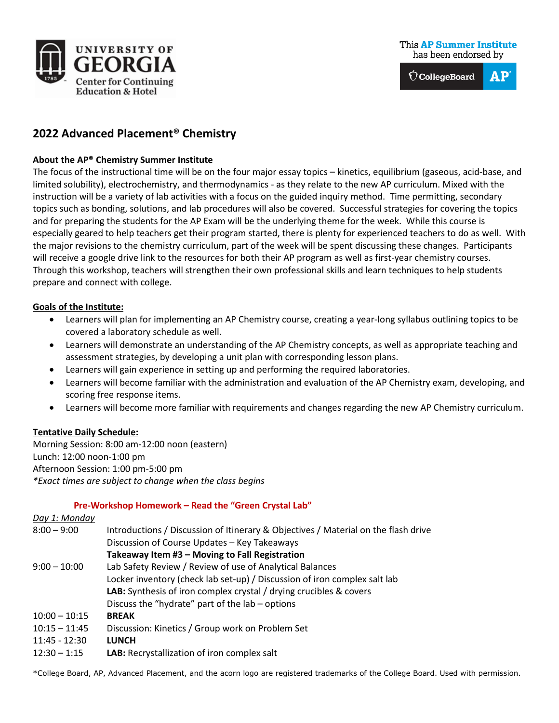

 $\hat{\nabla}$ CollegeBoard AP

# **2022 Advanced Placement® Chemistry**

### **About the AP® Chemistry Summer Institute**

The focus of the instructional time will be on the four major essay topics – kinetics, equilibrium (gaseous, acid-base, and limited solubility), electrochemistry, and thermodynamics - as they relate to the new AP curriculum. Mixed with the instruction will be a variety of lab activities with a focus on the guided inquiry method. Time permitting, secondary topics such as bonding, solutions, and lab procedures will also be covered. Successful strategies for covering the topics and for preparing the students for the AP Exam will be the underlying theme for the week. While this course is especially geared to help teachers get their program started, there is plenty for experienced teachers to do as well. With the major revisions to the chemistry curriculum, part of the week will be spent discussing these changes. Participants will receive a google drive link to the resources for both their AP program as well as first-year chemistry courses. Through this workshop, teachers will strengthen their own professional skills and learn techniques to help students prepare and connect with college.

#### **Goals of the Institute:**

- Learners will plan for implementing an AP Chemistry course, creating a year-long syllabus outlining topics to be covered a laboratory schedule as well.
- Learners will demonstrate an understanding of the AP Chemistry concepts, as well as appropriate teaching and assessment strategies, by developing a unit plan with corresponding lesson plans.
- Learners will gain experience in setting up and performing the required laboratories.
- Learners will become familiar with the administration and evaluation of the AP Chemistry exam, developing, and scoring free response items.
- Learners will become more familiar with requirements and changes regarding the new AP Chemistry curriculum.

### **Tentative Daily Schedule:**

Morning Session: 8:00 am-12:00 noon (eastern) Lunch: 12:00 noon-1:00 pm Afternoon Session: 1:00 pm-5:00 pm *\*Exact times are subject to change when the class begins*

#### **Pre-Workshop Homework – Read the "Green Crystal Lab"**

| Day 1: Monday   |                                                                                    |
|-----------------|------------------------------------------------------------------------------------|
| $8:00 - 9:00$   | Introductions / Discussion of Itinerary & Objectives / Material on the flash drive |
|                 | Discussion of Course Updates - Key Takeaways                                       |
|                 | Takeaway Item #3 - Moving to Fall Registration                                     |
| $9:00 - 10:00$  | Lab Safety Review / Review of use of Analytical Balances                           |
|                 | Locker inventory (check lab set-up) / Discussion of iron complex salt lab          |
|                 | <b>LAB:</b> Synthesis of iron complex crystal / drying crucibles & covers          |
|                 | Discuss the "hydrate" part of the lab – options                                    |
| $10:00 - 10:15$ | <b>BREAK</b>                                                                       |
| $10:15 - 11:45$ | Discussion: Kinetics / Group work on Problem Set                                   |
| $11:45 - 12:30$ | <b>LUNCH</b>                                                                       |
| $12:30 - 1:15$  | LAB: Recrystallization of iron complex salt                                        |

\*College Board, AP, Advanced Placement, and the acorn logo are registered trademarks of the College Board. Used with permission.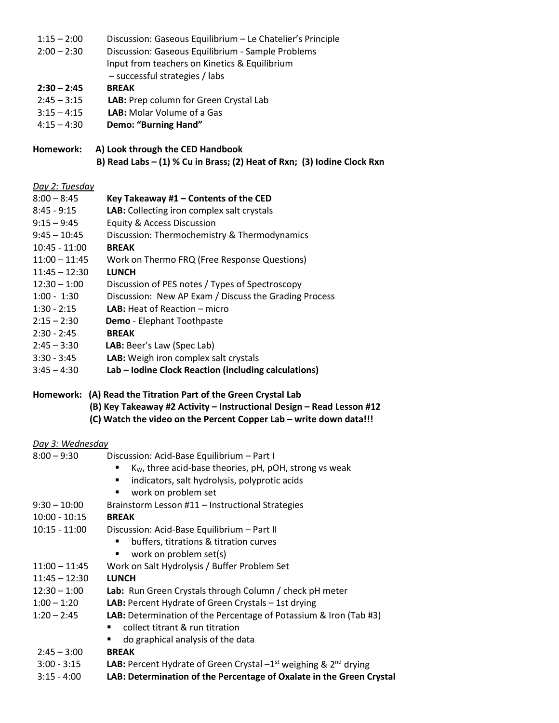- 1:15 2:00 Discussion: Gaseous Equilibrium Le Chatelier's Principle
- 2:00 2:30 Discussion: Gaseous Equilibrium Sample Problems
	- Input from teachers on Kinetics & Equilibrium
		- successful strategies / labs

## **2:30 – 2:45 BREAK**

- 2:45 3:15 **LAB:** Prep column for Green Crystal Lab
- 3:15 4:15 **LAB:** Molar Volume of a Gas
- 4:15 4:30 **Demo: "Burning Hand"**

### **Homework: A) Look through the CED Handbook B) Read Labs – (1) % Cu in Brass; (2) Heat of Rxn; (3) Iodine Clock Rxn**

### *Day 2: Tuesday*

| $8:00 - 8:45$   | Key Takeaway #1 - Contents of the CED                 |
|-----------------|-------------------------------------------------------|
| $8:45 - 9:15$   | LAB: Collecting iron complex salt crystals            |
| $9:15 - 9:45$   | <b>Equity &amp; Access Discussion</b>                 |
| $9:45 - 10:45$  | Discussion: Thermochemistry & Thermodynamics          |
| $10:45 - 11:00$ | <b>BREAK</b>                                          |
| $11:00 - 11:45$ | Work on Thermo FRQ (Free Response Questions)          |
| $11:45 - 12:30$ | <b>LUNCH</b>                                          |
| $12:30 - 1:00$  | Discussion of PES notes / Types of Spectroscopy       |
| $1:00 - 1:30$   | Discussion: New AP Exam / Discuss the Grading Process |
| $1:30 - 2:15$   | <b>LAB:</b> Heat of Reaction $-$ micro                |
| $2:15 - 2:30$   | <b>Demo</b> - Elephant Toothpaste                     |
| $2:30 - 2:45$   | <b>BREAK</b>                                          |
| $2:45 - 3:30$   | LAB: Beer's Law (Spec Lab)                            |

- 3:30 3:45 **LAB:** Weigh iron complex salt crystals
- 3:45 4:30 **Lab – Iodine Clock Reaction (including calculations)**

### **Homework: (A) Read the Titration Part of the Green Crystal Lab (B) Key Takeaway #2 Activity – Instructional Design – Read Lesson #12 (C) Watch the video on the Percent Copper Lab – write down data!!!**

# *Day 3: Wednesday*

| $8:00 - 9:30$   | Discussion: Acid-Base Equilibrium - Part I                                                 |
|-----------------|--------------------------------------------------------------------------------------------|
|                 | K <sub>w</sub> , three acid-base theories, pH, pOH, strong vs weak                         |
|                 | indicators, salt hydrolysis, polyprotic acids<br>٠                                         |
|                 | work on problem set<br>п                                                                   |
| $9:30 - 10:00$  | Brainstorm Lesson #11 - Instructional Strategies                                           |
| $10:00 - 10:15$ | <b>BREAK</b>                                                                               |
| $10:15 - 11:00$ | Discussion: Acid-Base Equilibrium - Part II                                                |
|                 | buffers, titrations & titration curves<br>٠                                                |
|                 | work on problem set(s)<br>$\blacksquare$                                                   |
| $11:00 - 11:45$ | Work on Salt Hydrolysis / Buffer Problem Set                                               |
| $11:45 - 12:30$ | <b>LUNCH</b>                                                                               |
| $12:30 - 1:00$  | Lab: Run Green Crystals through Column / check pH meter                                    |
| $1:00 - 1:20$   | <b>LAB:</b> Percent Hydrate of Green Crystals $-$ 1st drying                               |
| $1:20 - 2:45$   | LAB: Determination of the Percentage of Potassium & Iron (Tab #3)                          |
|                 | collect titrant & run titration                                                            |
|                 | do graphical analysis of the data                                                          |
| $2:45 - 3:00$   | <b>BREAK</b>                                                                               |
| $3:00 - 3:15$   | <b>LAB:</b> Percent Hydrate of Green Crystal $-1$ <sup>st</sup> weighing & $2^{nd}$ drying |
|                 |                                                                                            |

3:15 - 4:00 **LAB: Determination of the Percentage of Oxalate in the Green Crystal**